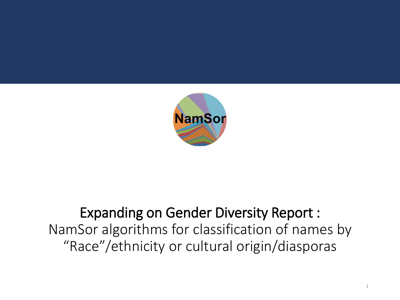

#### Expanding on Gender Diversity Report : NamSor algorithms for classification of names by "Race"/ethnicity or cultural origin/diasporas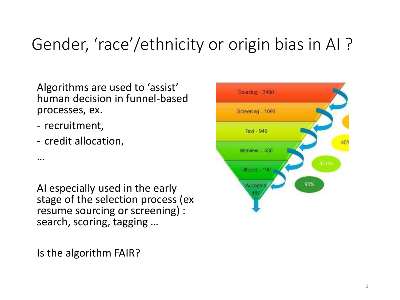### Gender, 'race'/ethnicity or origin bias in AI ?

Algorithms are used to 'assist' human decision in funnel-based processes, ex.

- recruitment,
- credit allocation,

…

AI especially used in the early stage of the selection process (ex resume sourcing or screening) : search, scoring, tagging …

Is the algorithm FAIR?

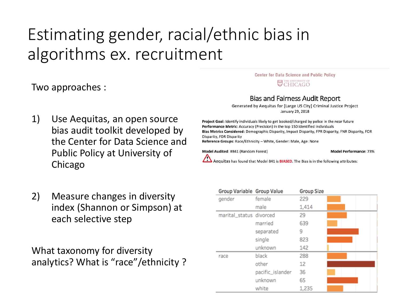## Estimating gender, racial/ethnic bias in algorithms ex. recruitment

Two approaches :

- 1) Use Aequitas, an open source bias audit toolkit developed by the Center for Data Science and Public Policy at University of Chicago
- 2) Measure changes in diversity index (Shannon or Simpson) at each selective step

What taxonomy for diversity analytics? What is "race"/ethnicity ?

#### Center for Data Science and Public Policy THE UNIVERSITY OF CHICAGO

#### **Bias and Fairness Audit Report**

Generated by Aequitas for [Large US City] Criminal Justice Project January 29, 2018

Project Goal: Identify individuals likely to get booked/charged by police in the near future Performance Metric: Accuracy (Precision) in the top 150 identified individuals Bias Metrics Considered: Demographic Disparity, Impact Disparity, FPR Disparity, FNR Disparity, FOR Disparity, FDR Disparity Reference Groups: Race/Ethnicity - White, Gender: Male, Age: None

Model Audited: #841 (Random Forest)

**Model Performance: 73%** 

Aequitas has found that Model 841 is **BIASED**. The Bias is in the following attributes:

| Group Variable Group Value |                  | <b>Group Size</b> |  |
|----------------------------|------------------|-------------------|--|
| gender                     | female           | 229               |  |
|                            | male             | 1,414             |  |
| marital_status divorced    |                  | 29                |  |
|                            | married          | 639               |  |
|                            | separated        | 9                 |  |
|                            | single           | 823               |  |
|                            | unknown          | 142               |  |
| race                       | black            | 288               |  |
|                            | other            | 12                |  |
|                            | pacific_islander | 36                |  |
|                            | unknown          | 65                |  |
|                            | white            | 1,235             |  |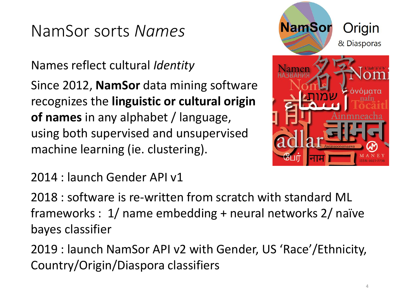#### NamSor sorts *Names*

Names reflect cultural *Identity*

Since 2012, **NamSor** data mining software recognizes the **linguistic or cultural origin of names** in any alphabet / language, using both supervised and unsupervised machine learning (ie. clustering).



2014 : launch Gender API v1

2018 : software is re-written from scratch with standard ML frameworks : 1/ name embedding + neural networks 2/ naïve bayes classifier

2019 : launch NamSor API v2 with Gender, US 'Race'/Ethnicity, Country/Origin/Diaspora classifiers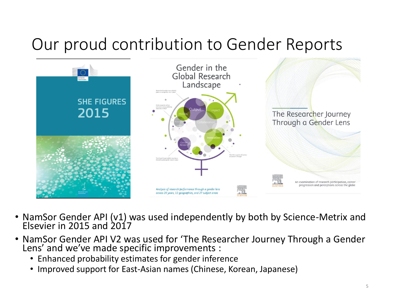#### Our proud contribution to Gender Reports



- NamSor Gender API (v1) was used independently by both by Science-Metrix and Elsevier in 2015 and 2017
- NamSor Gender API V2 was used for 'The Researcher Journey Through a Gender Lens' and we've made specific improvements :
	- Enhanced probability estimates for gender inference
	- Improved support for East-Asian names (Chinese, Korean, Japanese)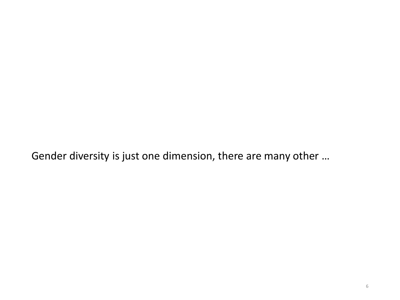Gender diversity is just one dimension, there are many other …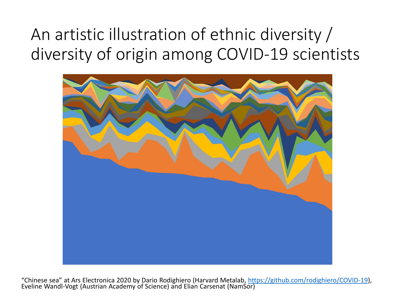### An artistic illustration of ethnic diversity / diversity of origin among COVID-19 scientists



"Chinese sea" at Ars Electronica 2020 by Dario Rodighiero (Harvard Metalab,<https://github.com/rodighiero/COVID-19>), Eveline Wandl-Vogt (Austrian Academy of Science) and Elian Carsenat (NamSor)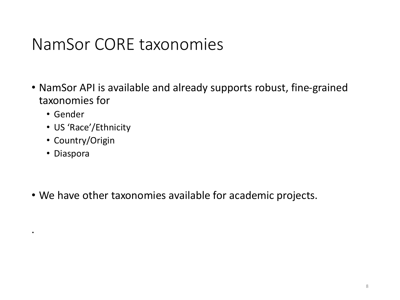#### NamSor CORE taxonomies

- NamSor API is available and already supports robust, fine-grained taxonomies for
	- Gender
	- US 'Race'/Ethnicity
	- Country/Origin
	- Diaspora

.

• We have other taxonomies available for academic projects.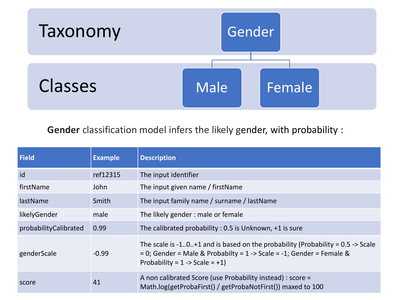

#### **Gender** classification model infers the likely gender, with probability :

| <b>Field</b>          | <b>Example</b> | <b>Description</b>                                                                                                                                                                                          |
|-----------------------|----------------|-------------------------------------------------------------------------------------------------------------------------------------------------------------------------------------------------------------|
| id                    | ref12315       | The input identifier                                                                                                                                                                                        |
| firstName             | John           | The input given name / firstName                                                                                                                                                                            |
| lastName              | Smith          | The input family name / surname / lastName                                                                                                                                                                  |
| likelyGender          | male           | The likely gender: male or female                                                                                                                                                                           |
| probabilityCalibrated | 0.99           | The calibrated probability : 0.5 is Unknown, +1 is sure                                                                                                                                                     |
| genderScale           | $-0.99$        | The scale is $-10+1$ and is based on the probability (Probability = 0.5 $\rightarrow$ Scale<br>= 0; Gender = Male & Probabilty = 1 -> Scale = -1; Gender = Female &<br>Probability = $1 -$ > Scale = $+1$ ) |
| score                 | 41             | A non calibrated Score (use Probability instead) : score =<br>Math.log(getProbaFirst() / getProbaNotFirst()) maxed to 100                                                                                   |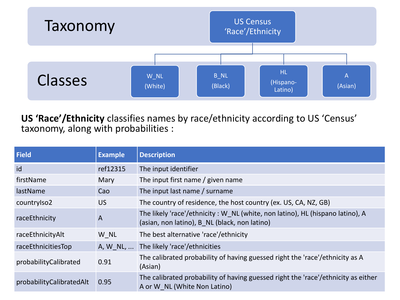

**US 'Race'/Ethnicity** classifies names by race/ethnicity according to US 'Census' taxonomy, along with probabilities :

| Field                    | <b>Example</b> | <b>Description</b>                                                                                                              |
|--------------------------|----------------|---------------------------------------------------------------------------------------------------------------------------------|
| id                       | ref12315       | The input identifier                                                                                                            |
| firstName                | Mary           | The input first name / given name                                                                                               |
| lastName                 | Cao            | The input last name / surname                                                                                                   |
| countrylso2              | <b>US</b>      | The country of residence, the host country (ex. US, CA, NZ, GB)                                                                 |
| raceEthnicity            | $\overline{A}$ | The likely 'race'/ethnicity : W NL (white, non latino), HL (hispano latino), A<br>(asian, non latino), B NL (black, non latino) |
| raceEthnicityAlt         | W NL           | The best alternative 'race'/ethnicity                                                                                           |
| raceEthnicitiesTop       | A, W_NL,       | The likely 'race'/ethnicities                                                                                                   |
| probabilityCalibrated    | 0.91           | The calibrated probability of having guessed right the 'race'/ethnicity as A<br>(Asian)                                         |
| probabilityCalibratedAlt | 0.95           | The calibrated probability of having guessed right the 'race'/ethnicity as either<br>A or W NL (White Non Latino)               |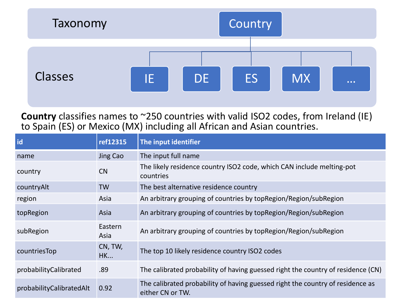

**Country** classifies names to ~250 countries with valid ISO2 codes, from Ireland (IE) to Spain (ES) or Mexico (MX) including all African and Asian countries.

| id                       | ref12315             | The input identifier                                                                               |
|--------------------------|----------------------|----------------------------------------------------------------------------------------------------|
| name                     | Jing Cao             | The input full name                                                                                |
| country                  | CN                   | The likely residence country ISO2 code, which CAN include melting-pot<br>countries                 |
| countryAlt               | <b>TW</b>            | The best alternative residence country                                                             |
| region                   | Asia                 | An arbitrary grouping of countries by top Region/Region/sub Region                                 |
| topRegion                | Asia                 | An arbitrary grouping of countries by top Region/Region/sub Region                                 |
| subRegion                | Eastern<br>Asia      | An arbitrary grouping of countries by topRegion/Region/subRegion                                   |
| countriesTop             | CN, TW,<br><b>HK</b> | The top 10 likely residence country ISO2 codes                                                     |
| probabilityCalibrated    | .89                  | The calibrated probability of having guessed right the country of residence (CN)                   |
| probabilityCalibratedAlt | 0.92                 | The calibrated probability of having guessed right the country of residence as<br>either CN or TW. |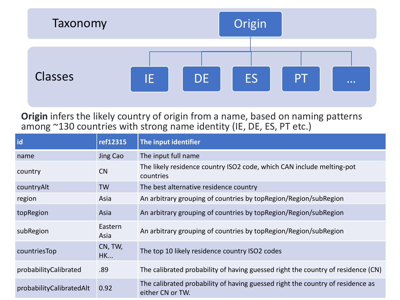

**Origin** infers the likely country of origin from a name, based on naming patterns among ~130 countries with strong name identity (IE, DE, ES, PT etc.)

| id                       | ref12315             | The input identifier                                                                               |
|--------------------------|----------------------|----------------------------------------------------------------------------------------------------|
| name                     | Jing Cao             | The input full name                                                                                |
| country                  | CN                   | The likely residence country ISO2 code, which CAN include melting-pot<br>countries                 |
| countryAlt               | <b>TW</b>            | The best alternative residence country                                                             |
| region                   | Asia                 | An arbitrary grouping of countries by topRegion/Region/subRegion                                   |
| topRegion                | Asia                 | An arbitrary grouping of countries by top Region/Region/sub Region                                 |
| subRegion                | Eastern<br>Asia      | An arbitrary grouping of countries by topRegion/Region/subRegion                                   |
| countriesTop             | CN, TW,<br><b>HK</b> | The top 10 likely residence country ISO2 codes                                                     |
| probabilityCalibrated    | .89                  | The calibrated probability of having guessed right the country of residence (CN)                   |
| probabilityCalibratedAlt | 0.92                 | The calibrated probability of having guessed right the country of residence as<br>either CN or TW. |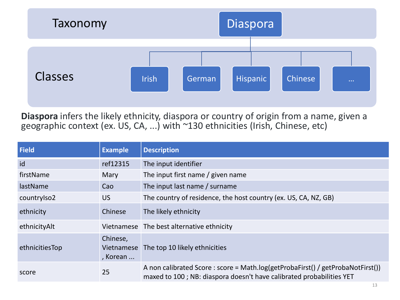

**Diaspora** infers the likely ethnicity, diaspora or country of origin from a name, given a geographic context (ex. US, CA, ...) with ~130 ethnicities (Irish, Chinese, etc)

| Field          | <b>Example</b>                     | <b>Description</b>                                                                                                                                      |
|----------------|------------------------------------|---------------------------------------------------------------------------------------------------------------------------------------------------------|
| id             | ref12315                           | The input identifier                                                                                                                                    |
| firstName      | Mary                               | The input first name / given name                                                                                                                       |
| lastName       | Cao                                | The input last name / surname                                                                                                                           |
| countrylso2    | <b>US</b>                          | The country of residence, the host country (ex. US, CA, NZ, GB)                                                                                         |
| ethnicity      | Chinese                            | The likely ethnicity                                                                                                                                    |
| ethnicityAlt   |                                    | Vietnamese The best alternative ethnicity                                                                                                               |
| ethnicitiesTop | Chinese,<br>Vietnamese<br>, Korean | The top 10 likely ethnicities                                                                                                                           |
| score          | 25                                 | A non calibrated Score : score = Math.log(getProbaFirst() / getProbaNotFirst())<br>maxed to 100; NB: diaspora doesn't have calibrated probabilities YET |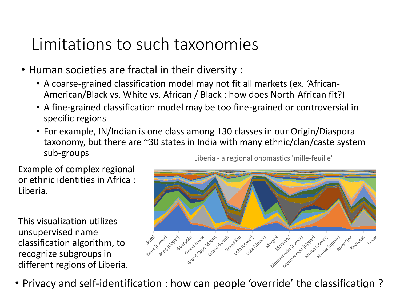#### Limitations to such taxonomies

- Human societies are fractal in their diversity :
	- A coarse-grained classification model may not fit all markets (ex. 'African-American/Black vs. White vs. African / Black : how does North-African fit?)
	- A fine-grained classification model may be too fine-grained or controversial in specific regions
	- For example, IN/Indian is one class among 130 classes in our Origin/Diaspora taxonomy, but there are ~30 states in India with many ethnic/clan/caste system sub-groups Liberia - a regional onomastics 'mille-feuille'

Example of complex regional or ethnic identities in Africa : Liberia.

This visualization utilizes unsupervised name classification algorithm, to recognize subgroups in different regions of Liberia.



• Privacy and self-identification : how can people 'override' the classification ?